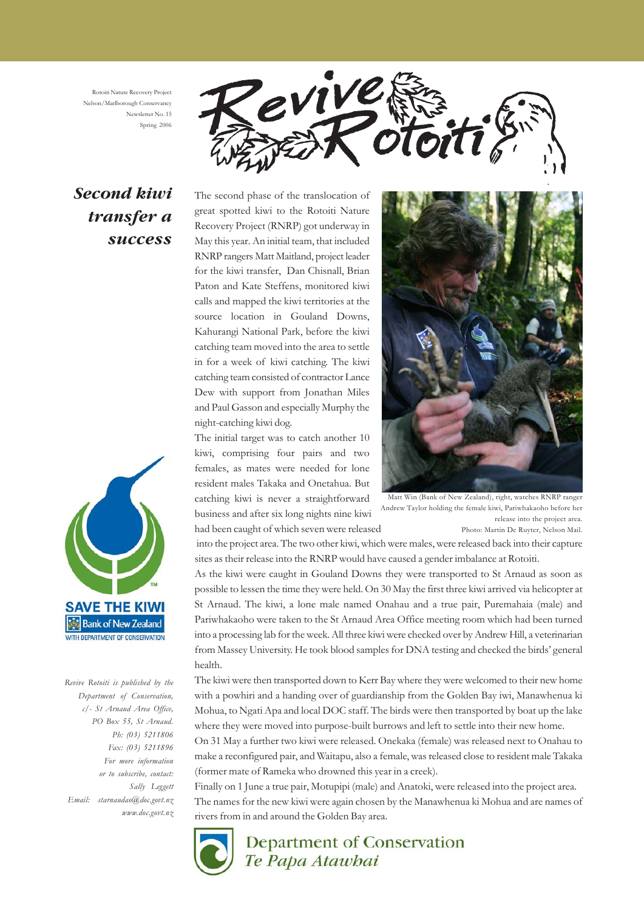Rotoiti Nature Recovery Project Nelson/Marlborough Conservancy Newsletter No. 15 Spring 2006



# *Second kiwi transfer a success*



*Revive Rotoiti is published by the Department of Conservation, c/- St Arnaud Area Office, PO Box 55, St Arnaud. Ph: (03) 5211806 Fax: (03) 5211896 For more information or to subscribe, contact: Sally Leggett Email: starnaudao@doc.govt.nz www.doc.govt.nz* The second phase of the translocation of great spotted kiwi to the Rotoiti Nature Recovery Project (RNRP) got underway in May this year. An initial team, that included RNRP rangers Matt Maitland, project leader for the kiwi transfer, Dan Chisnall, Brian Paton and Kate Steffens, monitored kiwi calls and mapped the kiwi territories at the source location in Gouland Downs, Kahurangi National Park, before the kiwi catching team moved into the area to settle in for a week of kiwi catching. The kiwi catching team consisted of contractor Lance Dew with support from Jonathan Miles and Paul Gasson and especially Murphy the night-catching kiwi dog.

The initial target was to catch another 10 kiwi, comprising four pairs and two females, as mates were needed for lone resident males Takaka and Onetahua. But catching kiwi is never a straightforward business and after six long nights nine kiwi had been caught of which seven were released



Matt Win (Bank of New Zealand), right, watches RNRP ranger Andrew Taylor holding the female kiwi, Pariwhakaoho before her release into the project area. Photo: Martin De Ruyter, Nelson Mail.

 into the project area. The two other kiwi, which were males, were released back into their capture sites as their release into the RNRP would have caused a gender imbalance at Rotoiti.

As the kiwi were caught in Gouland Downs they were transported to St Arnaud as soon as possible to lessen the time they were held. On 30 May the first three kiwi arrived via helicopter at St Arnaud. The kiwi, a lone male named Onahau and a true pair, Puremahaia (male) and Pariwhakaoho were taken to the St Arnaud Area Office meeting room which had been turned into a processing lab for the week. All three kiwi were checked over by Andrew Hill, a veterinarian from Massey University. He took blood samples for DNA testing and checked the birds' general health.

The kiwi were then transported down to Kerr Bay where they were welcomed to their new home with a powhiri and a handing over of guardianship from the Golden Bay iwi, Manawhenua ki Mohua, to Ngati Apa and local DOC staff. The birds were then transported by boat up the lake where they were moved into purpose-built burrows and left to settle into their new home.

On 31 May a further two kiwi were released. Onekaka (female) was released next to Onahau to make a reconfigured pair, and Waitapu, also a female, was released close to resident male Takaka (former mate of Rameka who drowned this year in a creek).

Finally on 1 June a true pair, Motupipi (male) and Anatoki, were released into the project area. The names for the new kiwi were again chosen by the Manawhenua ki Mohua and are names of rivers from in and around the Golden Bay area.

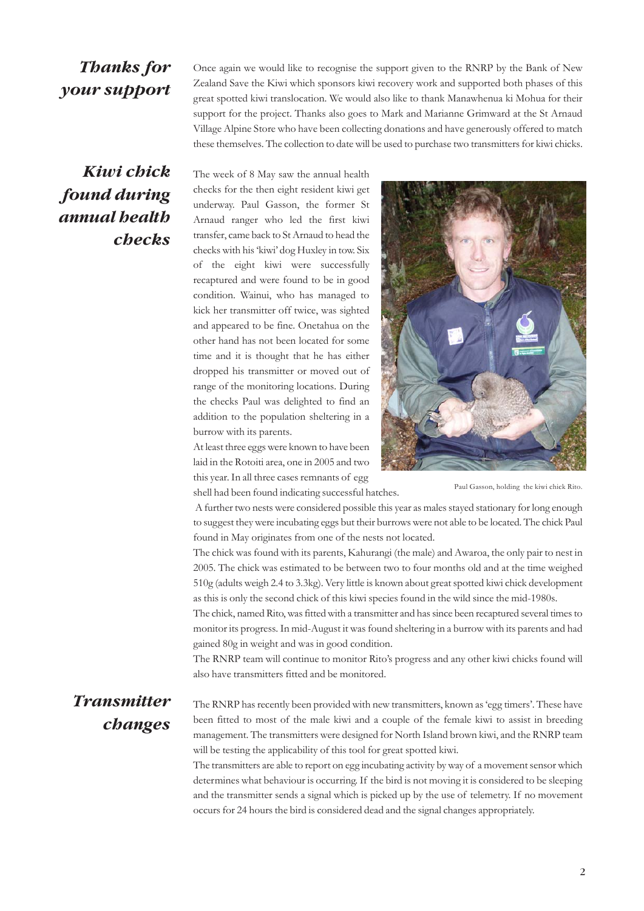### *Thanks for your support*

Once again we would like to recognise the support given to the RNRP by the Bank of New Zealand Save the Kiwi which sponsors kiwi recovery work and supported both phases of this great spotted kiwi translocation. We would also like to thank Manawhenua ki Mohua for their support for the project. Thanks also goes to Mark and Marianne Grimward at the St Arnaud Village Alpine Store who have been collecting donations and have generously offered to match these themselves. The collection to date will be used to purchase two transmitters for kiwi chicks.

# *Kiwi chick found during annual health checks*

The week of 8 May saw the annual health checks for the then eight resident kiwi get underway. Paul Gasson, the former St Arnaud ranger who led the first kiwi transfer, came back to St Arnaud to head the checks with his 'kiwi' dog Huxley in tow. Six of the eight kiwi were successfully recaptured and were found to be in good condition. Wainui, who has managed to kick her transmitter off twice, was sighted and appeared to be fine. Onetahua on the other hand has not been located for some time and it is thought that he has either dropped his transmitter or moved out of range of the monitoring locations. During the checks Paul was delighted to find an addition to the population sheltering in a burrow with its parents.

At least three eggs were known to have been laid in the Rotoiti area, one in 2005 and two this year. In all three cases remnants of egg

shell had been found indicating successful hatches.



Paul Gasson, holding the kiwi chick Rito.

 A further two nests were considered possible this year as males stayed stationary for long enough to suggest they were incubating eggs but their burrows were not able to be located. The chick Paul found in May originates from one of the nests not located.

The chick was found with its parents, Kahurangi (the male) and Awaroa, the only pair to nest in 2005. The chick was estimated to be between two to four months old and at the time weighed 510g (adults weigh 2.4 to 3.3kg). Very little is known about great spotted kiwi chick development as this is only the second chick of this kiwi species found in the wild since the mid-1980s.

The chick, named Rito, was fitted with a transmitter and has since been recaptured several times to monitor its progress. In mid-August it was found sheltering in a burrow with its parents and had gained 80g in weight and was in good condition.

The RNRP team will continue to monitor Rito's progress and any other kiwi chicks found will also have transmitters fitted and be monitored.

## *Transmitter changes*

The RNRP has recently been provided with new transmitters, known as 'egg timers'. These have been fitted to most of the male kiwi and a couple of the female kiwi to assist in breeding management. The transmitters were designed for North Island brown kiwi, and the RNRP team will be testing the applicability of this tool for great spotted kiwi.

The transmitters are able to report on egg incubating activity by way of a movement sensor which determines what behaviour is occurring. If the bird is not moving it is considered to be sleeping and the transmitter sends a signal which is picked up by the use of telemetry. If no movement occurs for 24 hours the bird is considered dead and the signal changes appropriately.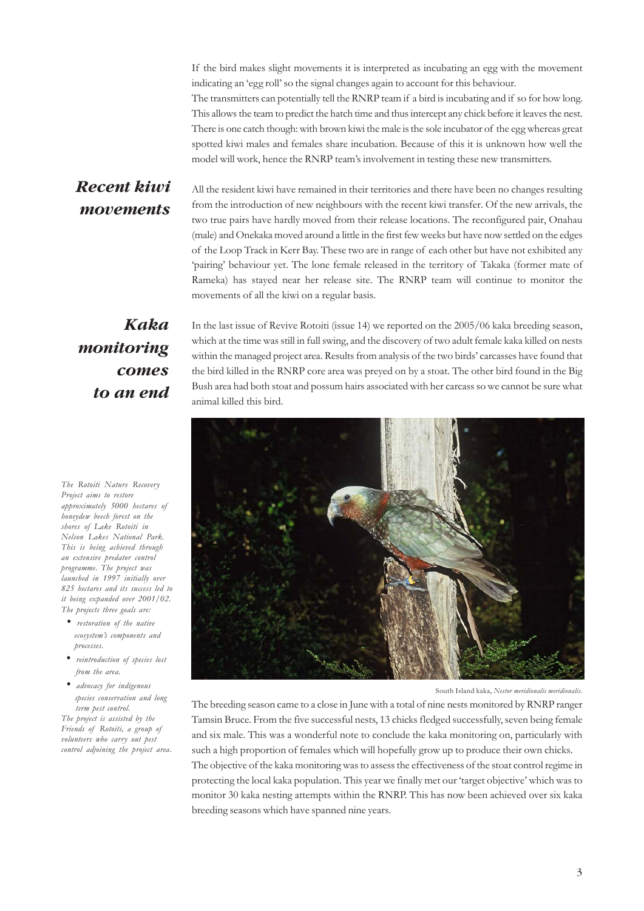If the bird makes slight movements it is interpreted as incubating an egg with the movement indicating an 'egg roll' so the signal changes again to account for this behaviour. The transmitters can potentially tell the RNRP team if a bird is incubating and if so for how long. This allows the team to predict the hatch time and thus intercept any chick before it leaves the nest. There is one catch though: with brown kiwi the male is the sole incubator of the egg whereas great spotted kiwi males and females share incubation. Because of this it is unknown how well the model will work, hence the RNRP team's involvement in testing these new transmitters.

#### *Recent kiwi movements*

All the resident kiwi have remained in their territories and there have been no changes resulting from the introduction of new neighbours with the recent kiwi transfer. Of the new arrivals, the two true pairs have hardly moved from their release locations. The reconfigured pair, Onahau (male) and Onekaka moved around a little in the first few weeks but have now settled on the edges of the Loop Track in Kerr Bay. These two are in range of each other but have not exhibited any 'pairing' behaviour yet. The lone female released in the territory of Takaka (former mate of Rameka) has stayed near her release site. The RNRP team will continue to monitor the movements of all the kiwi on a regular basis.

*Kaka monitoring comes to an end*

*The Rotoiti Nature Recovery Project aims to restore approximately 5000 hectares of honeydew beech forest on the shores of Lake Rotoiti in Nelson Lakes National Park. This is being achieved through an extensive predator control programme. The project was launched in 1997 initially over 825 hectares and its success led to it being expanded over 2001/02. The projects three goals are:*

- *restoration of the native ecosystem's components and processes.*
- *reintroduction of species lost from the area.*
- *advocacy for indigenous species conservation and long term pest control.*

*The project is assisted by the Friends of Rotoiti, a group of volunteers who carry out pest control adjoining the project area.* In the last issue of Revive Rotoiti (issue 14) we reported on the 2005/06 kaka breeding season, which at the time was still in full swing, and the discovery of two adult female kaka killed on nests within the managed project area. Results from analysis of the two birds' carcasses have found that the bird killed in the RNRP core area was preyed on by a stoat. The other bird found in the Big Bush area had both stoat and possum hairs associated with her carcass so we cannot be sure what animal killed this bird.



South Island kaka, *Nestor meridionalis meridionalis.*

The breeding season came to a close in June with a total of nine nests monitored by RNRP ranger Tamsin Bruce. From the five successful nests, 13 chicks fledged successfully, seven being female and six male. This was a wonderful note to conclude the kaka monitoring on, particularly with such a high proportion of females which will hopefully grow up to produce their own chicks.

The objective of the kaka monitoring was to assess the effectiveness of the stoat control regime in protecting the local kaka population. This year we finally met our 'target objective' which was to monitor 30 kaka nesting attempts within the RNRP. This has now been achieved over six kaka breeding seasons which have spanned nine years.